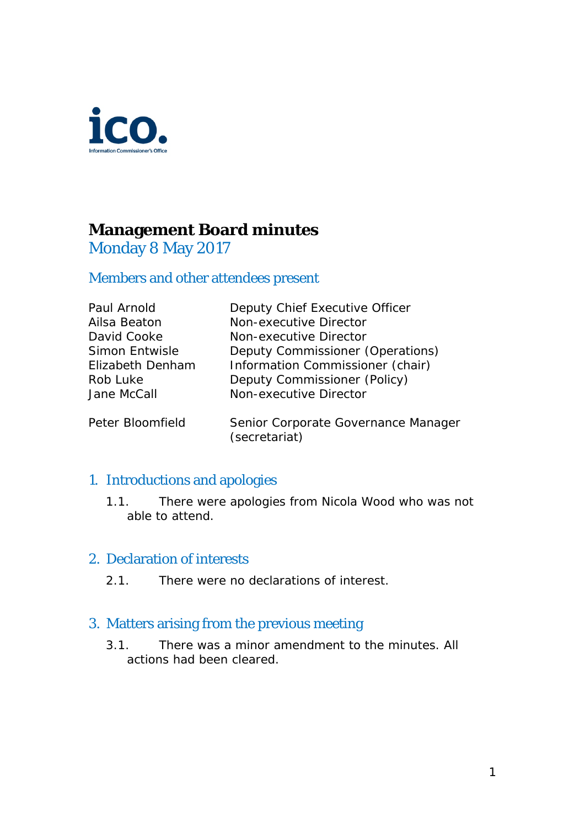

# **Management Board minutes**

## Monday 8 May 2017

## Members and other attendees present

| Deputy Chief Executive Officer   |
|----------------------------------|
| Non-executive Director           |
| Non-executive Director           |
| Deputy Commissioner (Operations) |
| Information Commissioner (chair) |
| Deputy Commissioner (Policy)     |
| Non-executive Director           |
|                                  |
|                                  |

Peter Bloomfield Senior Corporate Governance Manager (secretariat)

#### 1. Introductions and apologies

1.1. There were apologies from Nicola Wood who was not able to attend.

## 2. Declaration of interests

2.1. There were no declarations of interest.

## 3. Matters arising from the previous meeting

3.1. There was a minor amendment to the minutes. All actions had been cleared.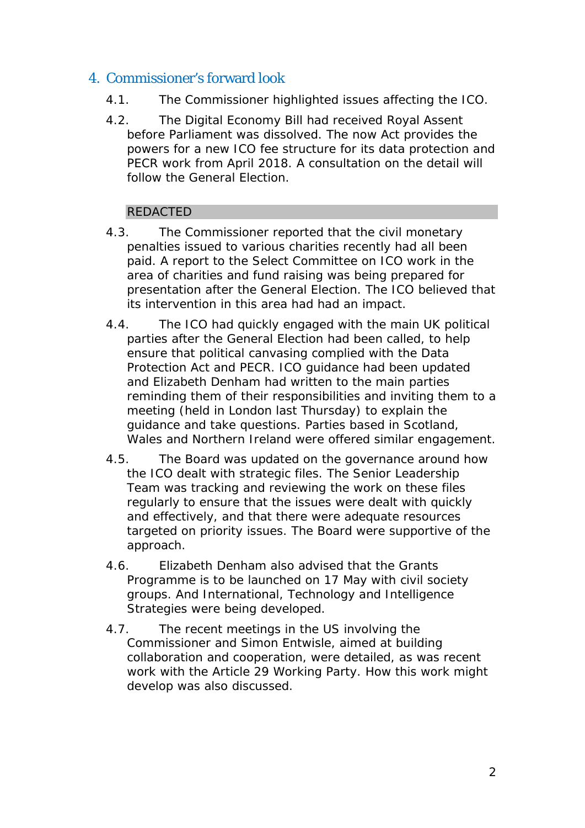## 4. Commissioner's forward look

- 4.1. The Commissioner highlighted issues affecting the ICO.
- 4.2. The Digital Economy Bill had received Royal Assent before Parliament was dissolved. The now Act provides the powers for a new ICO fee structure for its data protection and PECR work from April 2018. A consultation on the detail will follow the General Election.

#### REDACTED

- 4.3. The Commissioner reported that the civil monetary penalties issued to various charities recently had all been paid. A report to the Select Committee on ICO work in the area of charities and fund raising was being prepared for presentation after the General Election. The ICO believed that its intervention in this area had had an impact.
- 4.4. The ICO had quickly engaged with the main UK political parties after the General Election had been called, to help ensure that political canvasing complied with the Data Protection Act and PECR. ICO guidance had been updated and Elizabeth Denham had written to the main parties reminding them of their responsibilities and inviting them to a meeting (held in London last Thursday) to explain the guidance and take questions. Parties based in Scotland, Wales and Northern Ireland were offered similar engagement.
- 4.5. The Board was updated on the governance around how the ICO dealt with strategic files. The Senior Leadership Team was tracking and reviewing the work on these files regularly to ensure that the issues were dealt with quickly and effectively, and that there were adequate resources targeted on priority issues. The Board were supportive of the approach.
- 4.6. Elizabeth Denham also advised that the Grants Programme is to be launched on 17 May with civil society groups. And International, Technology and Intelligence Strategies were being developed.
- 4.7. The recent meetings in the US involving the Commissioner and Simon Entwisle, aimed at building collaboration and cooperation, were detailed, as was recent work with the Article 29 Working Party. How this work might develop was also discussed.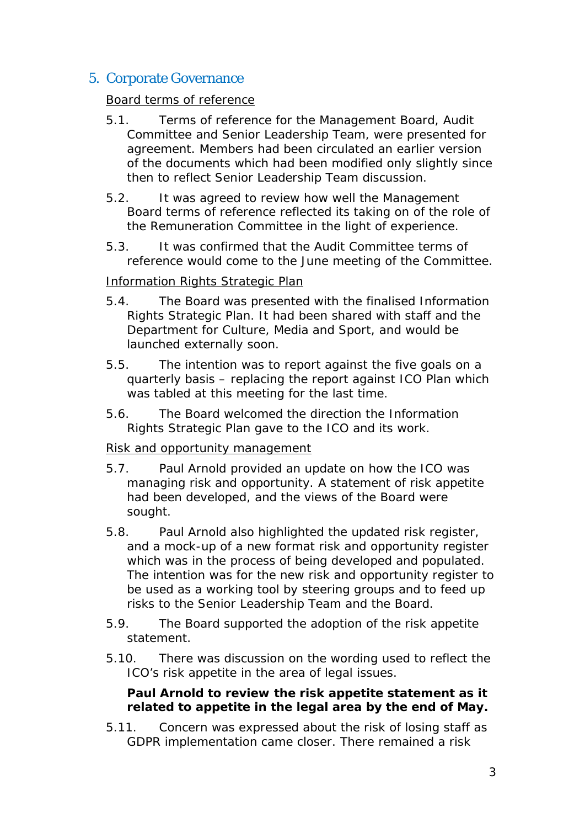## 5. Corporate Governance

#### Board terms of reference

- 5.1. Terms of reference for the Management Board, Audit Committee and Senior Leadership Team, were presented for agreement. Members had been circulated an earlier version of the documents which had been modified only slightly since then to reflect Senior Leadership Team discussion.
- 5.2. It was agreed to review how well the Management Board terms of reference reflected its taking on of the role of the Remuneration Committee in the light of experience.
- 5.3. It was confirmed that the Audit Committee terms of reference would come to the June meeting of the Committee.

#### Information Rights Strategic Plan

- 5.4. The Board was presented with the finalised Information Rights Strategic Plan. It had been shared with staff and the Department for Culture, Media and Sport, and would be launched externally soon.
- 5.5. The intention was to report against the five goals on a quarterly basis – replacing the report against ICO Plan which was tabled at this meeting for the last time.
- 5.6. The Board welcomed the direction the Information Rights Strategic Plan gave to the ICO and its work.

#### Risk and opportunity management

- 5.7. Paul Arnold provided an update on how the ICO was managing risk and opportunity. A statement of risk appetite had been developed, and the views of the Board were sought.
- 5.8. Paul Arnold also highlighted the updated risk register, and a mock-up of a new format risk and opportunity register which was in the process of being developed and populated. The intention was for the new risk and opportunity register to be used as a working tool by steering groups and to feed up risks to the Senior Leadership Team and the Board.
- 5.9. The Board supported the adoption of the risk appetite statement.
- 5.10. There was discussion on the wording used to reflect the ICO's risk appetite in the area of legal issues.

#### **Paul Arnold to review the risk appetite statement as it related to appetite in the legal area by the end of May.**

5.11. Concern was expressed about the risk of losing staff as GDPR implementation came closer. There remained a risk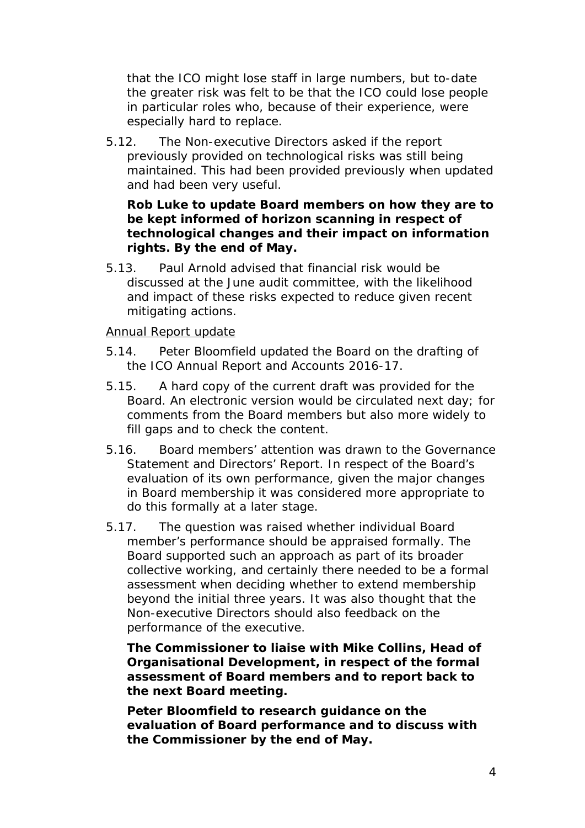that the ICO might lose staff in large numbers, but to-date the greater risk was felt to be that the ICO could lose people in particular roles who, because of their experience, were especially hard to replace.

5.12. The Non-executive Directors asked if the report previously provided on technological risks was still being maintained. This had been provided previously when updated and had been very useful.

#### **Rob Luke to update Board members on how they are to be kept informed of horizon scanning in respect of technological changes and their impact on information rights. By the end of May.**

5.13. Paul Arnold advised that financial risk would be discussed at the June audit committee, with the likelihood and impact of these risks expected to reduce given recent mitigating actions.

#### Annual Report update

- 5.14. Peter Bloomfield updated the Board on the drafting of the ICO Annual Report and Accounts 2016-17.
- 5.15. A hard copy of the current draft was provided for the Board. An electronic version would be circulated next day; for comments from the Board members but also more widely to fill gaps and to check the content.
- 5.16. Board members' attention was drawn to the Governance Statement and Directors' Report. In respect of the Board's evaluation of its own performance, given the major changes in Board membership it was considered more appropriate to do this formally at a later stage.
- 5.17. The question was raised whether individual Board member's performance should be appraised formally. The Board supported such an approach as part of its broader collective working, and certainly there needed to be a formal assessment when deciding whether to extend membership beyond the initial three years. It was also thought that the Non-executive Directors should also feedback on the performance of the executive.

**The Commissioner to liaise with Mike Collins, Head of Organisational Development, in respect of the formal assessment of Board members and to report back to the next Board meeting.**

**Peter Bloomfield to research guidance on the evaluation of Board performance and to discuss with the Commissioner by the end of May.**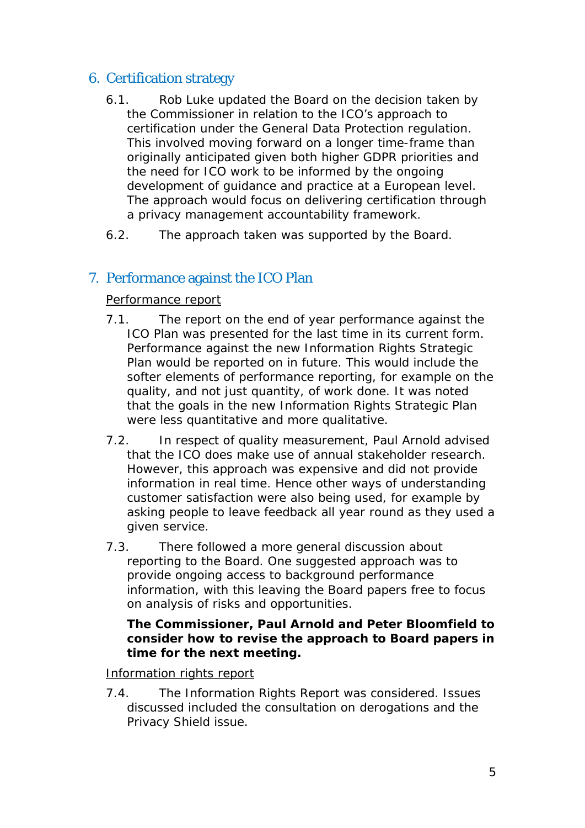## 6. Certification strategy

- 6.1. Rob Luke updated the Board on the decision taken by the Commissioner in relation to the ICO's approach to certification under the General Data Protection regulation. This involved moving forward on a longer time-frame than originally anticipated given both higher GDPR priorities and the need for ICO work to be informed by the ongoing development of guidance and practice at a European level. The approach would focus on delivering certification through a privacy management accountability framework.
- 6.2. The approach taken was supported by the Board.

## 7. Performance against the ICO Plan

#### Performance report

- 7.1. The report on the end of year performance against the ICO Plan was presented for the last time in its current form. Performance against the new Information Rights Strategic Plan would be reported on in future. This would include the softer elements of performance reporting, for example on the quality, and not just quantity, of work done. It was noted that the goals in the new Information Rights Strategic Plan were less quantitative and more qualitative.
- 7.2. In respect of quality measurement, Paul Arnold advised that the ICO does make use of annual stakeholder research. However, this approach was expensive and did not provide information in real time. Hence other ways of understanding customer satisfaction were also being used, for example by asking people to leave feedback all year round as they used a given service.
- 7.3. There followed a more general discussion about reporting to the Board. One suggested approach was to provide ongoing access to background performance information, with this leaving the Board papers free to focus on analysis of risks and opportunities.

#### **The Commissioner, Paul Arnold and Peter Bloomfield to consider how to revise the approach to Board papers in time for the next meeting.**

#### Information rights report

7.4. The Information Rights Report was considered. Issues discussed included the consultation on derogations and the Privacy Shield issue.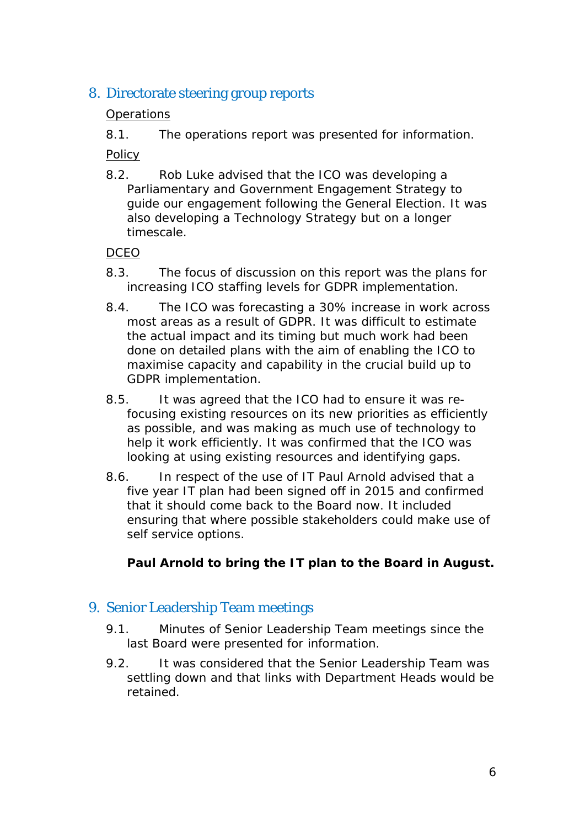## 8. Directorate steering group reports

#### **Operations**

8.1. The operations report was presented for information.

Policy

8.2. Rob Luke advised that the ICO was developing a Parliamentary and Government Engagement Strategy to guide our engagement following the General Election. It was also developing a Technology Strategy but on a longer timescale.

#### DCEO

- 8.3. The focus of discussion on this report was the plans for increasing ICO staffing levels for GDPR implementation.
- 8.4. The ICO was forecasting a 30% increase in work across most areas as a result of GDPR. It was difficult to estimate the actual impact and its timing but much work had been done on detailed plans with the aim of enabling the ICO to maximise capacity and capability in the crucial build up to GDPR implementation.
- 8.5. It was agreed that the ICO had to ensure it was refocusing existing resources on its new priorities as efficiently as possible, and was making as much use of technology to help it work efficiently. It was confirmed that the ICO was looking at using existing resources and identifying gaps.
- 8.6. In respect of the use of IT Paul Arnold advised that a five year IT plan had been signed off in 2015 and confirmed that it should come back to the Board now. It included ensuring that where possible stakeholders could make use of self service options.

#### **Paul Arnold to bring the IT plan to the Board in August.**

## 9. Senior Leadership Team meetings

- 9.1. Minutes of Senior Leadership Team meetings since the last Board were presented for information.
- 9.2. It was considered that the Senior Leadership Team was settling down and that links with Department Heads would be retained.